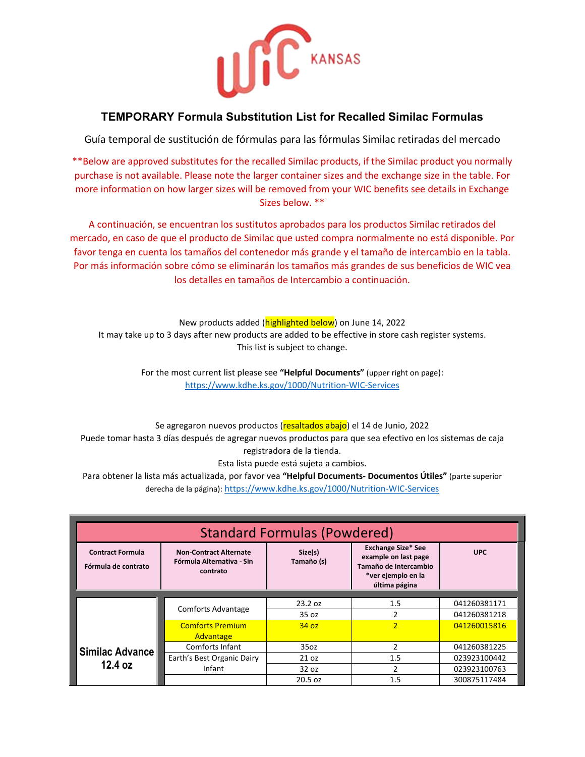

# **TEMPORARY Formula Substitution List for Recalled Similac Formulas**

Guía temporal de sustitución de fórmulas para las fórmulas Similac retiradas del mercado

\*\*Below are approved substitutes for the recalled Similac products, if the Similac product you normally purchase is not available. Please note the larger container sizes and the exchange size in the table. For more information on how larger sizes will be removed from your WIC benefits see details in Exchange Sizes below. \*\*

A continuación, se encuentran los sustitutos aprobados para los productos Similac retirados del mercado, en caso de que el producto de Similac que usted compra normalmente no está disponible. Por favor tenga en cuenta los tamaños del contenedor más grande y el tamaño de intercambio en la tabla. Por más información sobre cómo se eliminarán los tamaños más grandes de sus beneficios de WIC vea los detalles en tamaños de Intercambio a continuación.

New products added (*highlighted below*) on June 14, 2022 It may take up to 3 days after new products are added to be effective in store cash register systems. This list is subject to change.

> For the most current list please see **"Helpful Documents"** (upper right on page): [https://www.kdhe.ks.gov/1000/Nutrition-WIC-Services](https://gcc02.safelinks.protection.outlook.com/?url=https%3A%2F%2Fwww.kdhe.ks.gov%2F1000%2FNutrition-WIC-Services&data=05%7C01%7CBethany.Hirsh%40ks.gov%7Cafbbaaaa2d4a4cdcdbb508da3a9417f6%7Cdcae8101c92d480cbc43c6761ccccc5a%7C0%7C0%7C637886704973858559%7CUnknown%7CTWFpbGZsb3d8eyJWIjoiMC4wLjAwMDAiLCJQIjoiV2luMzIiLCJBTiI6Ik1haWwiLCJXVCI6Mn0%3D%7C3000%7C%7C%7C&sdata=lxaFzGDhXVkLwz7NM0ZX%2Bx3o2teoR36SPIQdyuXPz9Q%3D&reserved=0)

Se agregaron nuevos productos (resaltados abajo) el 14 de Junio, 2022 [Puede tomar hasta](https://tr-ex.me/translation/spanish-english/podr%C3%ADa+tomar+hasta) 3 días después de agregar nuevos productos para que sea efectivo en los sistemas de caja registradora de la tienda.

Esta lista puede está sujeta a cambios.

Para obtener la lista más actualizada, por favor vea **"Helpful Documents- Documentos Útiles"** (parte superior derecha de la página): <https://www.kdhe.ks.gov/1000/Nutrition-WIC-Services>

| <b>Standard Formulas (Powdered)</b>            |                                                                        |                       |                                                                                                                   |              |  |  |
|------------------------------------------------|------------------------------------------------------------------------|-----------------------|-------------------------------------------------------------------------------------------------------------------|--------------|--|--|
| <b>Contract Formula</b><br>Fórmula de contrato | <b>Non-Contract Alternate</b><br>Fórmula Alternativa - Sin<br>contrato | Size(s)<br>Tamaño (s) | <b>Exchange Size* See</b><br>example on last page<br>Tamaño de Intercambio<br>*ver ejemplo en la<br>última página | <b>UPC</b>   |  |  |
|                                                |                                                                        | 23.2 oz               | 1.5                                                                                                               | 041260381171 |  |  |
|                                                | <b>Comforts Advantage</b>                                              | 35 oz                 | $\overline{2}$                                                                                                    | 041260381218 |  |  |
|                                                | <b>Comforts Premium</b>                                                | 34 oz                 | $\overline{2}$                                                                                                    | 041260015816 |  |  |
|                                                | Advantage                                                              |                       |                                                                                                                   |              |  |  |
| Similac Advance<br>12.4 oz                     | Comforts Infant                                                        | 35 <sub>oz</sub>      | 2                                                                                                                 | 041260381225 |  |  |
|                                                | Earth's Best Organic Dairy                                             | 21 oz                 | 1.5                                                                                                               | 023923100442 |  |  |
|                                                | Infant                                                                 | 32 oz                 | 2                                                                                                                 | 023923100763 |  |  |
|                                                |                                                                        | 20.5 oz               | 1.5                                                                                                               | 300875117484 |  |  |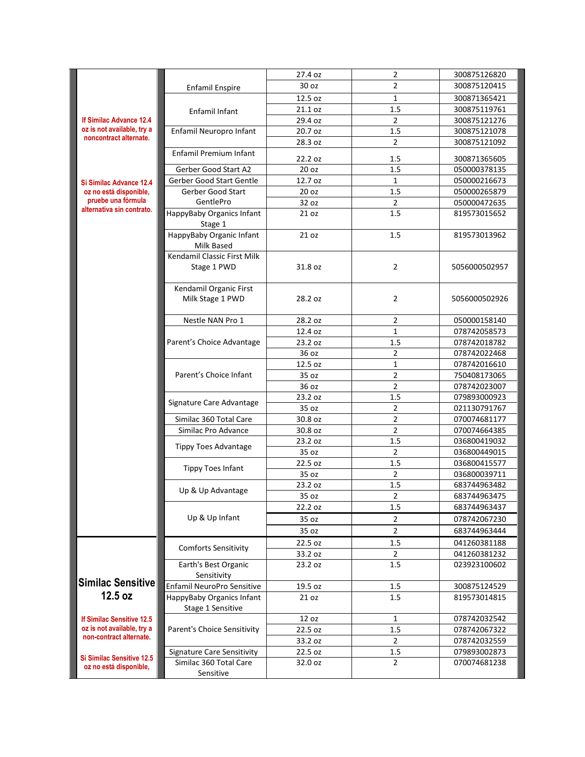|                                                       |                                            | 27.4 oz | $\overline{2}$ | 300875126820  |
|-------------------------------------------------------|--------------------------------------------|---------|----------------|---------------|
| If Similac Advance 12.4<br>oz is not available, try a | <b>Enfamil Enspire</b>                     | 30 oz   | $\overline{2}$ | 300875120415  |
|                                                       |                                            | 12.5 oz | $\mathbf{1}$   | 300871365421  |
|                                                       | Enfamil Infant                             | 21.1 oz | 1.5            | 300875119761  |
|                                                       |                                            | 29.4 oz | 2              | 300875121276  |
|                                                       | Enfamil Neuropro Infant                    | 20.7 oz | 1.5            | 300875121078  |
| noncontract alternate.                                |                                            | 28.3 oz | $\overline{2}$ | 300875121092  |
|                                                       | Enfamil Premium Infant                     |         |                |               |
|                                                       |                                            | 22.2 oz | 1.5            | 300871365605  |
|                                                       | Gerber Good Start A2                       | 20 oz   | 1.5            | 050000378135  |
| Si Similac Advance 12.4                               | Gerber Good Start Gentle                   | 12.7 oz | 1              | 050000216673  |
| oz no está disponible,<br>pruebe una fórmula          | Gerber Good Start                          | 20 oz   | 1.5            | 050000265879  |
| alternativa sin contrato.                             | GentlePro                                  | 32 oz   | $\overline{2}$ | 050000472635  |
|                                                       | HappyBaby Organics Infant<br>Stage 1       | 21 oz   | 1.5            | 819573015652  |
|                                                       | HappyBaby Organic Infant<br>Milk Based     | 21 oz   | 1.5            | 819573013962  |
|                                                       | Kendamil Classic First Milk<br>Stage 1 PWD | 31.8 oz | $\overline{2}$ | 5056000502957 |
|                                                       | Kendamil Organic First<br>Milk Stage 1 PWD | 28.2 oz | $\overline{2}$ | 5056000502926 |
|                                                       | Nestle NAN Pro 1                           | 28.2 oz | $\overline{2}$ | 050000158140  |
|                                                       |                                            | 12.4 oz | $\mathbf{1}$   | 078742058573  |
|                                                       | Parent's Choice Advantage                  | 23.2 oz | 1.5            | 078742018782  |
|                                                       |                                            | 36 oz   | 2              | 078742022468  |
|                                                       | Parent's Choice Infant                     | 12.5 oz | $\mathbf{1}$   | 078742016610  |
|                                                       |                                            | 35 oz   | $\overline{2}$ | 750408173065  |
|                                                       |                                            | 36 oz   | $\overline{2}$ | 078742023007  |
|                                                       | Signature Care Advantage                   | 23.2 oz | 1.5            | 079893000923  |
|                                                       |                                            | 35 oz   | $\overline{2}$ | 021130791767  |
|                                                       | Similac 360 Total Care                     | 30.8 oz | 2              | 070074681177  |
|                                                       | Similac Pro Advance                        | 30.8 oz | $\overline{2}$ | 070074664385  |
|                                                       |                                            | 23.2 oz | 1.5            | 036800419032  |
|                                                       | <b>Tippy Toes Advantage</b>                | 35 oz   | $\overline{2}$ | 036800449015  |
|                                                       |                                            | 22.5 oz | 1.5            | 036800415577  |
|                                                       | <b>Tippy Toes Infant</b>                   | 35 oz   | $\overline{2}$ | 036800039711  |
|                                                       |                                            | 23.2 oz | 1.5            | 683744963482  |
|                                                       | Up & Up Advantage                          | 35 oz   | $\overline{2}$ | 683744963475  |
|                                                       |                                            | 22.2 oz | 1.5            | 683744963437  |
|                                                       | Up & Up Infant                             | 35 oz   | 2              | 078742067230  |
|                                                       |                                            | 35 oz   | $\overline{2}$ | 683744963444  |
|                                                       |                                            | 22.5 oz | 1.5            | 041260381188  |
|                                                       | <b>Comforts Sensitivity</b>                | 33.2 oz | $\overline{2}$ | 041260381232  |
|                                                       | Earth's Best Organic<br>Sensitivity        | 23.2 oz | 1.5            | 023923100602  |
| <b>Similac Sensitive</b>                              | Enfamil NeuroPro Sensitive                 | 19.5 oz | 1.5            | 300875124529  |
| 12.5 oz                                               | HappyBaby Organics Infant                  | 21 oz   | 1.5            | 819573014815  |
|                                                       | Stage 1 Sensitive                          |         |                |               |
| <b>If Similac Sensitive 12.5</b>                      |                                            | 12 oz   | 1              | 078742032542  |
| oz is not available, try a                            | Parent's Choice Sensitivity                | 22.5 oz | 1.5            | 078742067322  |
| non-contract alternate.                               |                                            | 33.2 oz | $\overline{2}$ | 078742032559  |
|                                                       | <b>Signature Care Sensitivity</b>          | 22.5 oz | 1.5            | 079893002873  |
| <b>Si Similac Sensitive 12.5</b>                      | Similac 360 Total Care                     | 32.0 oz | $\overline{2}$ | 070074681238  |
| oz no está disponible,                                | Sensitive                                  |         |                |               |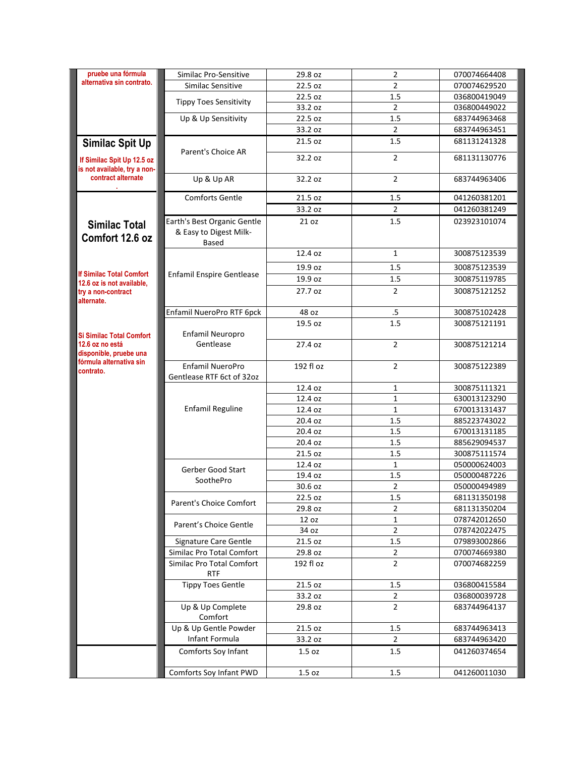| pruebe una fórmula                                                                                                   | Similac Pro-Sensitive                                                 | 29.8 oz              | 2                                | 070074664408                 |
|----------------------------------------------------------------------------------------------------------------------|-----------------------------------------------------------------------|----------------------|----------------------------------|------------------------------|
| alternativa sin contrato.                                                                                            | Similac Sensitive                                                     | 22.5 oz              | $\overline{2}$                   | 070074629520                 |
|                                                                                                                      | <b>Tippy Toes Sensitivity</b>                                         | 22.5 oz              | 1.5                              | 036800419049                 |
|                                                                                                                      |                                                                       | 33.2 oz              | $\overline{2}$                   | 036800449022                 |
|                                                                                                                      | Up & Up Sensitivity                                                   | 22.5 oz              | 1.5                              | 683744963468                 |
|                                                                                                                      |                                                                       | 33.2 oz              | $\overline{2}$                   | 683744963451                 |
| Similac Spit Up                                                                                                      | Parent's Choice AR                                                    | 21.5 oz              | 1.5                              | 681131241328                 |
| If Similac Spit Up 12.5 oz<br>is not available, try a non-                                                           |                                                                       | 32.2 oz              | $\overline{2}$                   | 681131130776                 |
| contract alternate                                                                                                   | Up & Up AR                                                            | 32.2 oz              | $\overline{2}$                   | 683744963406                 |
|                                                                                                                      | <b>Comforts Gentle</b>                                                | 21.5 oz              | 1.5                              | 041260381201                 |
|                                                                                                                      |                                                                       | 33.2 oz              | $\overline{2}$                   | 041260381249                 |
| <b>Similac Total</b><br>Comfort 12.6 oz                                                                              | Earth's Best Organic Gentle<br>& Easy to Digest Milk-<br><b>Based</b> | 21 oz                | 1.5                              | 023923101074                 |
|                                                                                                                      |                                                                       | 12.4 oz              | $\mathbf{1}$                     | 300875123539                 |
|                                                                                                                      |                                                                       | 19.9 oz              | 1.5                              | 300875123539                 |
| <b>If Similac Total Comfort</b>                                                                                      | <b>Enfamil Enspire Gentlease</b>                                      | 19.9 oz              | 1.5                              | 300875119785                 |
| 12.6 oz is not available,<br>try a non-contract<br>alternate.                                                        |                                                                       | 27.7 oz              | $\overline{2}$                   | 300875121252                 |
|                                                                                                                      | Enfamil NueroPro RTF 6pck                                             | 48 oz                | $.5\,$                           | 300875102428                 |
|                                                                                                                      | Enfamil Neuropro                                                      | 19.5 oz              | 1.5                              | 300875121191                 |
| <b>Si Similac Total Comfort</b><br>12.6 oz no está<br>disponible, pruebe una<br>fórmula alternativa sin<br>contrato. | Gentlease                                                             | 27.4 oz              | $\overline{2}$                   | 300875121214                 |
|                                                                                                                      | Enfamil NueroPro<br>Gentlease RTF 6ct of 32oz                         | 192 fl oz            | $\overline{2}$                   | 300875122389                 |
|                                                                                                                      |                                                                       | 12.4 oz              | $\mathbf{1}$                     | 300875111321                 |
|                                                                                                                      |                                                                       | 12.4 oz              | $\mathbf{1}$                     | 630013123290                 |
|                                                                                                                      | <b>Enfamil Reguline</b>                                               | 12.4 oz              | $\mathbf{1}$                     | 670013131437                 |
|                                                                                                                      |                                                                       | 20.4 oz              | 1.5                              | 885223743022                 |
|                                                                                                                      |                                                                       | 20.4 oz              | 1.5                              | 670013131185                 |
|                                                                                                                      |                                                                       | 20.4 oz              | 1.5                              | 885629094537                 |
|                                                                                                                      |                                                                       | 21.5 oz              | 1.5                              | 300875111574                 |
|                                                                                                                      | Gerber Good Start                                                     | 12.4 oz              | $\mathbf{1}$                     | 050000624003                 |
|                                                                                                                      | SoothePro                                                             | 19.4 oz              | 1.5                              | 050000487226                 |
|                                                                                                                      |                                                                       | 30.6 oz              | $\overline{2}$                   | 050000494989                 |
|                                                                                                                      | Parent's Choice Comfort                                               | 22.5 oz              | 1.5                              | 681131350198                 |
|                                                                                                                      |                                                                       | 29.8 oz              | 2                                | 681131350204                 |
|                                                                                                                      | Parent's Choice Gentle                                                | 12 oz                | $\mathbf{1}$                     | 078742012650                 |
|                                                                                                                      |                                                                       | 34 oz                | $\overline{2}$                   | 078742022475                 |
|                                                                                                                      | Signature Care Gentle                                                 | 21.5 oz              | 1.5                              | 079893002866                 |
|                                                                                                                      | Similac Pro Total Comfort<br>Similac Pro Total Comfort<br><b>RTF</b>  | 29.8 oz<br>192 fl oz | $\overline{2}$<br>$\overline{2}$ | 070074669380<br>070074682259 |
|                                                                                                                      | <b>Tippy Toes Gentle</b>                                              | 21.5 oz              | 1.5                              | 036800415584                 |
|                                                                                                                      |                                                                       | 33.2 oz              | $\overline{2}$                   | 036800039728                 |
|                                                                                                                      | Up & Up Complete<br>Comfort                                           | 29.8 oz              | $\overline{2}$                   | 683744964137                 |
|                                                                                                                      | Up & Up Gentle Powder                                                 | 21.5 oz              | 1.5                              | 683744963413                 |
|                                                                                                                      | Infant Formula                                                        | 33.2 oz              | $\overline{2}$                   | 683744963420                 |
|                                                                                                                      | Comforts Soy Infant                                                   | 1.5 oz               | 1.5                              | 041260374654                 |
|                                                                                                                      | Comforts Soy Infant PWD                                               | 1.5 oz               | 1.5                              | 041260011030                 |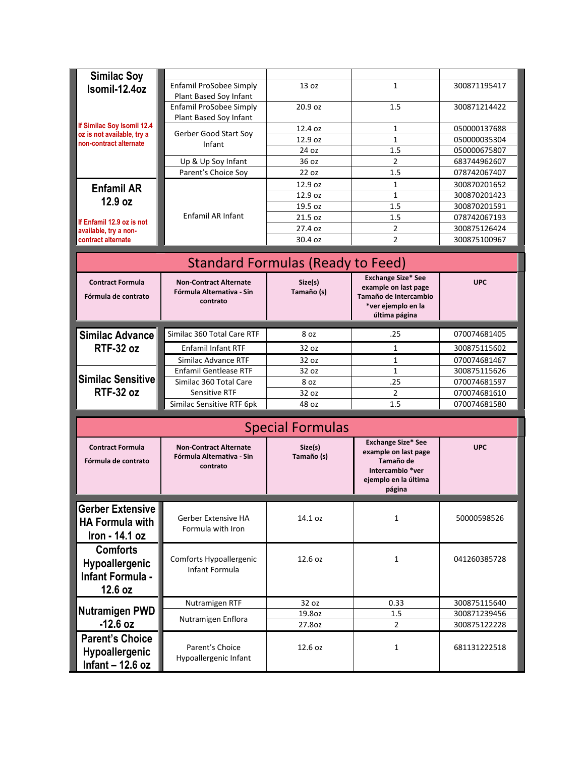| <b>Similac Soy</b>         |                                                            |                                          |                                     |              |  |
|----------------------------|------------------------------------------------------------|------------------------------------------|-------------------------------------|--------------|--|
| Isomil-12.4oz              | Enfamil ProSobee Simply                                    | 13 <sub>oz</sub>                         | $\mathbf{1}$                        | 300871195417 |  |
|                            | Plant Based Soy Infant                                     |                                          |                                     |              |  |
|                            | Enfamil ProSobee Simply                                    | 20.9 <sub>oz</sub>                       | 1.5                                 | 300871214422 |  |
| If Similac Soy Isomil 12.4 | Plant Based Soy Infant                                     |                                          |                                     |              |  |
| oz is not available, try a | Gerber Good Start Soy                                      | 12.4 oz                                  | 1                                   | 050000137688 |  |
| non-contract alternate     | Infant                                                     | 12.9 oz                                  | $\mathbf{1}$                        | 050000035304 |  |
|                            |                                                            | 24 oz                                    | 1.5                                 | 050000675807 |  |
|                            | Up & Up Soy Infant                                         | 36 oz                                    | $\overline{2}$                      | 683744962607 |  |
|                            | Parent's Choice Soy                                        | 22 oz                                    | 1.5                                 | 078742067407 |  |
| <b>Enfamil AR</b>          |                                                            | 12.9 oz                                  | 1                                   | 300870201652 |  |
| 12.9 oz                    |                                                            | 12.9 oz                                  | $\mathbf{1}$                        | 300870201423 |  |
|                            |                                                            | 19.5 oz                                  | 1.5                                 | 300870201591 |  |
| If Enfamil 12.9 oz is not  | Enfamil AR Infant                                          | 21.5 oz                                  | 1.5                                 | 078742067193 |  |
| available, try a non-      |                                                            | 27.4 oz                                  | $\overline{2}$                      | 300875126424 |  |
| contract alternate         |                                                            | 30.4 oz                                  | 2                                   | 300875100967 |  |
|                            |                                                            |                                          |                                     |              |  |
|                            |                                                            | <b>Standard Formulas (Ready to Feed)</b> |                                     |              |  |
| <b>Contract Formula</b>    | <b>Non-Contract Alternate</b>                              | Size(s)                                  | <b>Exchange Size* See</b>           | <b>UPC</b>   |  |
|                            | Fórmula Alternativa - Sin                                  | Tamaño (s)                               | example on last page                |              |  |
| Fórmula de contrato        | contrato                                                   |                                          | Tamaño de Intercambio               |              |  |
|                            |                                                            |                                          | *ver ejemplo en la<br>última página |              |  |
|                            |                                                            |                                          |                                     |              |  |
| <b>Similac Advance</b>     | Similac 360 Total Care RTF                                 | 8 oz                                     | .25                                 | 070074681405 |  |
| <b>RTF-32 oz</b>           | <b>Enfamil Infant RTF</b>                                  | 32 oz                                    | 1                                   | 300875115602 |  |
|                            | Similac Advance RTF                                        | 32 oz                                    | $\mathbf{1}$                        | 070074681467 |  |
|                            | <b>Enfamil Gentlease RTF</b>                               | 32 oz                                    | $\mathbf{1}$                        | 300875115626 |  |
| <b>Similac Sensitive</b>   | Similac 360 Total Care                                     | 8 oz                                     | .25                                 | 070074681597 |  |
| <b>RTF-32 oz</b>           | <b>Sensitive RTF</b>                                       | 32 oz                                    | $\overline{2}$                      | 070074681610 |  |
|                            | Similac Sensitive RTF 6pk                                  | 48 oz                                    | 1.5                                 | 070074681580 |  |
|                            |                                                            |                                          |                                     |              |  |
|                            |                                                            | <b>Special Formulas</b>                  |                                     |              |  |
|                            |                                                            |                                          | <b>Exchange Size* See</b>           |              |  |
| <b>Contract Formula</b>    | <b>Non-Contract Alternate</b><br>Fórmula Alternativa - Sin | Size(s)<br>Tamaño (s)                    | example on last page                | <b>UPC</b>   |  |
| Fórmula de contrato        | contrato                                                   |                                          | Tamaño de                           |              |  |
|                            |                                                            |                                          | Intercambio *ver                    |              |  |
|                            |                                                            |                                          | ejemplo en la última<br>página      |              |  |
|                            |                                                            |                                          |                                     |              |  |
| <b>Gerber Extensive</b>    |                                                            |                                          |                                     |              |  |
| <b>HA Formula with</b>     | Gerber Extensive HA                                        | 14.1 oz                                  | $\mathbf{1}$                        | 50000598526  |  |
|                            | Formula with Iron                                          |                                          |                                     |              |  |
| Iron - 14.1 oz             |                                                            |                                          |                                     |              |  |
| <b>Comforts</b>            |                                                            |                                          |                                     |              |  |
| Hypoallergenic             | Comforts Hypoallergenic                                    | 12.6 oz                                  | $\mathbf{1}$                        | 041260385728 |  |
| Infant Formula -           | Infant Formula                                             |                                          |                                     |              |  |
|                            |                                                            |                                          |                                     |              |  |
| 12.6 oz                    |                                                            |                                          |                                     |              |  |
|                            | Nutramigen RTF                                             | 32 oz                                    | 0.33                                | 300875115640 |  |
| <b>Nutramigen PWD</b>      | Nutramigen Enflora                                         | 19.8oz                                   | 1.5                                 | 300871239456 |  |
| $-12.6$ oz                 |                                                            | 27.8oz                                   | $\overline{2}$                      | 300875122228 |  |
| <b>Parent's Choice</b>     |                                                            |                                          |                                     |              |  |
| Hypoallergenic             | Parent's Choice                                            | 12.6 oz                                  | $\mathbf{1}$                        | 681131222518 |  |
| Infant $-$ 12.6 oz         | Hypoallergenic Infant                                      |                                          |                                     |              |  |
|                            |                                                            |                                          |                                     |              |  |